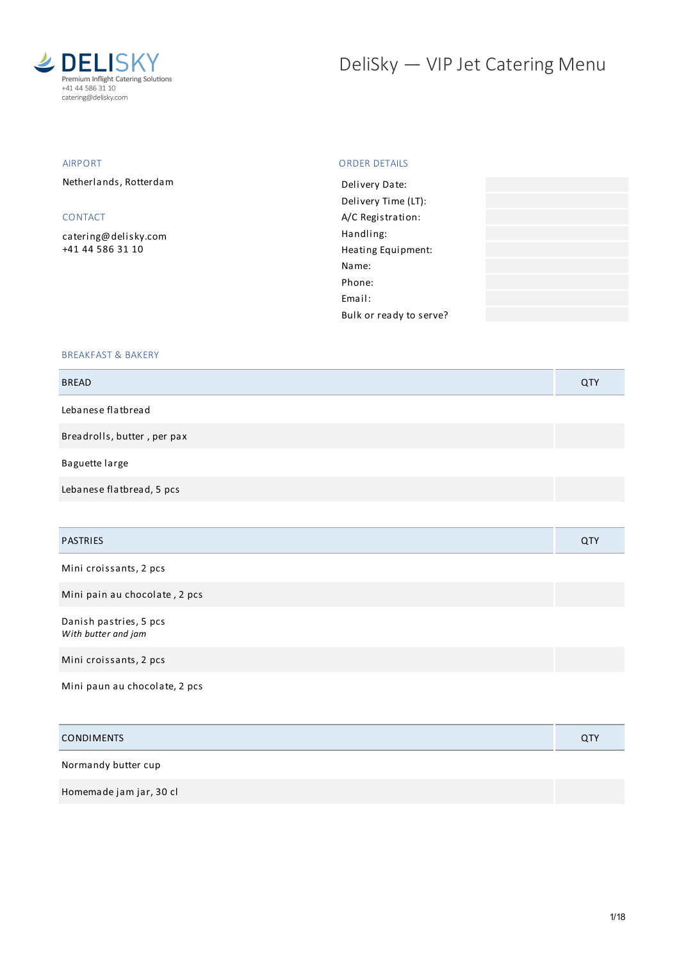

# DeliSky - VIP Jet Catering Menu

## AIRPORT

Netherlands, Rotterdam

## CONTACT

[catering@delisky.com](mailto:catering@delisky.com) +41 44 586 31 10

## ORDER DETAILS

| Delivery Date:          |  |
|-------------------------|--|
| Delivery Time (LT):     |  |
| A/C Registration:       |  |
| Handling:               |  |
| Heating Equipment:      |  |
| Name:                   |  |
| Phone:                  |  |
| Fmail:                  |  |
| Bulk or ready to serve? |  |
|                         |  |

#### BREAKFAST & BAKERY

| <b>BREAD</b>                                  | QTY        |
|-----------------------------------------------|------------|
| Lebanese flatbread                            |            |
| Breadrolls, butter, per pax                   |            |
| Baguette large                                |            |
| Lebanese flatbread, 5 pcs                     |            |
|                                               |            |
| <b>PASTRIES</b>                               | QTY        |
| Mini croissants, 2 pcs                        |            |
| Mini pain au chocolate, 2 pcs                 |            |
| Danish pastries, 5 pcs<br>With butter and jam |            |
| Mini croissants, 2 pcs                        |            |
| Mini paun au chocolate, 2 pcs                 |            |
| <b>CONDIMENTS</b>                             | <b>QTY</b> |

Normandy butter cup

Homemade jam jar, 30 cl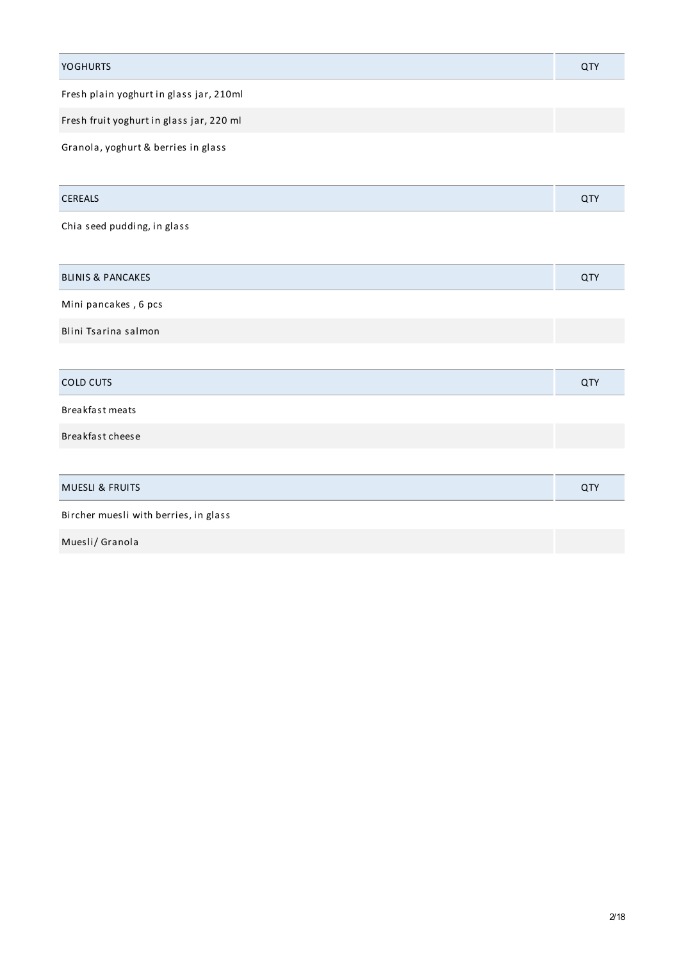| <b>YOGHURTS</b>                          | <b>QTY</b> |
|------------------------------------------|------------|
| Fresh plain yoghurt in glass jar, 210ml  |            |
| Fresh fruit yoghurt in glass jar, 220 ml |            |
| Granola, yoghurt & berries in glass      |            |
|                                          |            |
| CEREALS                                  | <b>QTY</b> |
| Chia seed pudding, in glass              |            |
|                                          |            |
| <b>BLINIS &amp; PANCAKES</b>             | <b>QTY</b> |
| Mini pancakes, 6 pcs                     |            |
| Blini Tsarina salmon                     |            |
|                                          |            |
| <b>COLD CUTS</b>                         | <b>QTY</b> |
| Breakfast meats                          |            |
| Breakfast cheese                         |            |
|                                          |            |
| <b>MUESLI &amp; FRUITS</b>               | <b>QTY</b> |
| Bircher muesli with berries, in glass    |            |
| Muesli/Granola                           |            |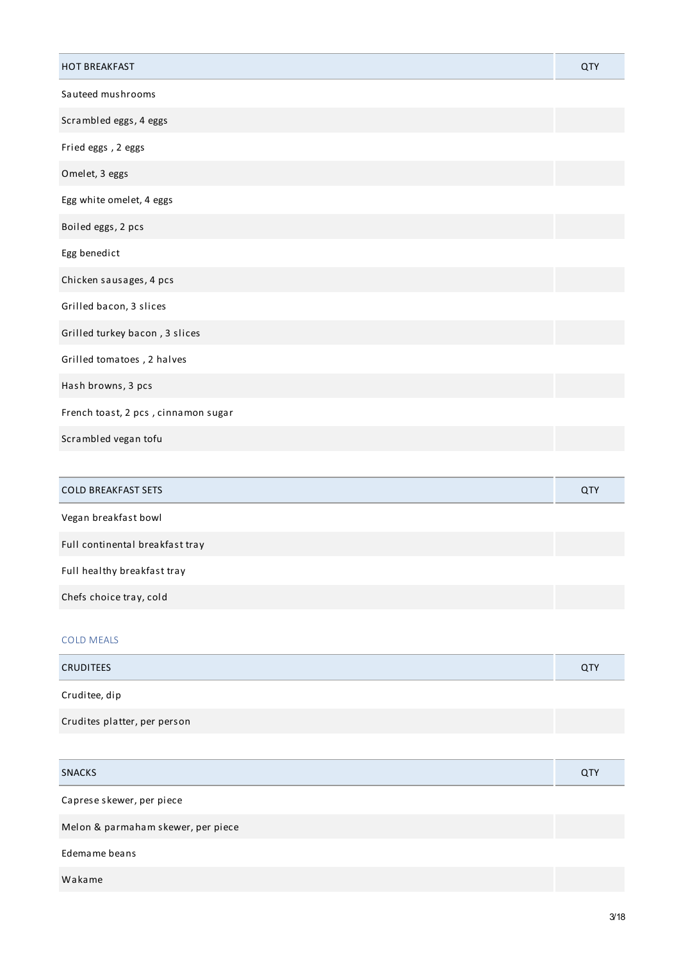| <b>HOT BREAKFAST</b>                | QTY        |
|-------------------------------------|------------|
| Sauteed mushrooms                   |            |
| Scrambled eggs, 4 eggs              |            |
| Fried eggs, 2 eggs                  |            |
| Omelet, 3 eggs                      |            |
| Egg white omelet, 4 eggs            |            |
| Boiled eggs, 2 pcs                  |            |
| Egg benedict                        |            |
| Chicken sausages, 4 pcs             |            |
| Grilled bacon, 3 slices             |            |
| Grilled turkey bacon, 3 slices      |            |
| Grilled tomatoes, 2 halves          |            |
| Hash browns, 3 pcs                  |            |
| French toast, 2 pcs, cinnamon sugar |            |
| Scrambled vegan tofu                |            |
|                                     |            |
| <b>COLD BREAKFAST SETS</b>          | QTY        |
| Vegan breakfast bowl                |            |
| Full continental breakfast tray     |            |
| Full healthy breakfast tray         |            |
| Chefs choice tray, cold             |            |
| <b>COLD MEALS</b>                   |            |
| <b>CRUDITEES</b>                    | <b>QTY</b> |
| Cruditee, dip                       |            |
| Crudites platter, per person        |            |
|                                     |            |
|                                     |            |

| <b>SNACKS</b>                      | QTY |
|------------------------------------|-----|
| Caprese skewer, per piece          |     |
| Melon & parmaham skewer, per piece |     |
| Edemame beans                      |     |
| Wakame                             |     |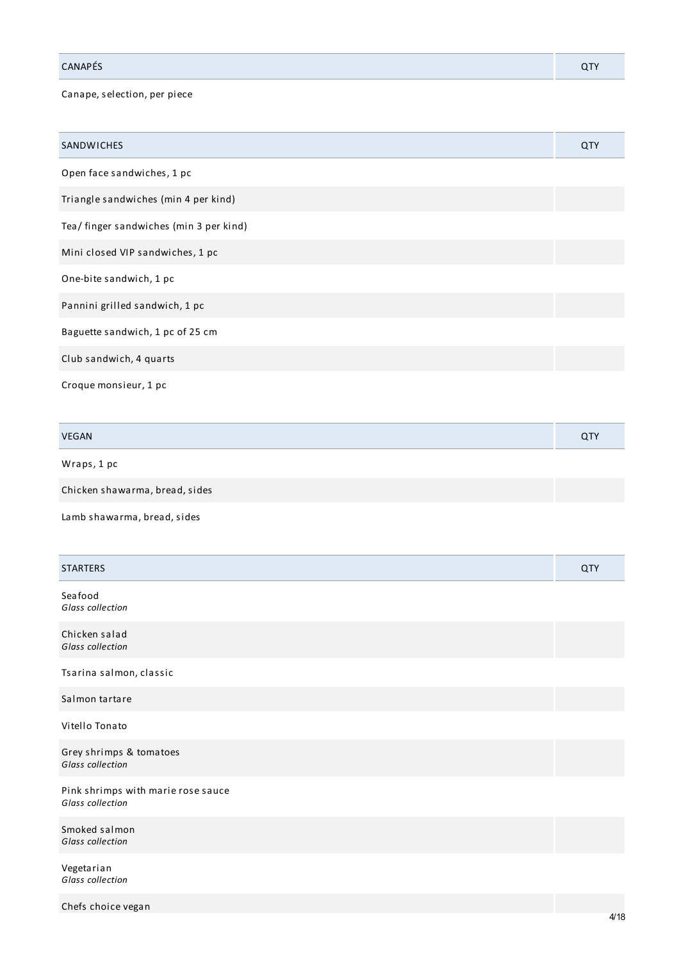| <b>CANAPÉS</b> |  |
|----------------|--|
|                |  |

Canape, selection, per piece

| SANDWICHES                              | QTY |
|-----------------------------------------|-----|
| Open face sandwiches, 1 pc              |     |
| Triangle sandwiches (min 4 per kind)    |     |
| Tea/ finger sandwiches (min 3 per kind) |     |
| Mini closed VIP sandwiches, 1 pc        |     |
| One-bite sandwich, 1 pc                 |     |
| Pannini grilled sandwich, 1 pc          |     |
| Baguette sandwich, 1 pc of 25 cm        |     |
| Club sandwich, 4 quarts                 |     |
| Croque monsieur, 1 pc                   |     |

| VEGAN       | QTY |
|-------------|-----|
| Wraps, 1 pc |     |

Chicken shawarma, bread, sides

Lamb shawarma, bread, sides

| <b>STARTERS</b>                                        | QTY |
|--------------------------------------------------------|-----|
| Seafood<br>Glass collection                            |     |
| Chicken salad<br>Glass collection                      |     |
| Tsarina salmon, classic                                |     |
| Salmon tartare                                         |     |
| Vitello Tonato                                         |     |
| Grey shrimps & tomatoes<br>Glass collection            |     |
| Pink shrimps with marie rose sauce<br>Glass collection |     |
| Smoked salmon<br>Glass collection                      |     |

Vegetarian *Glass collection*

Chefs choice vegan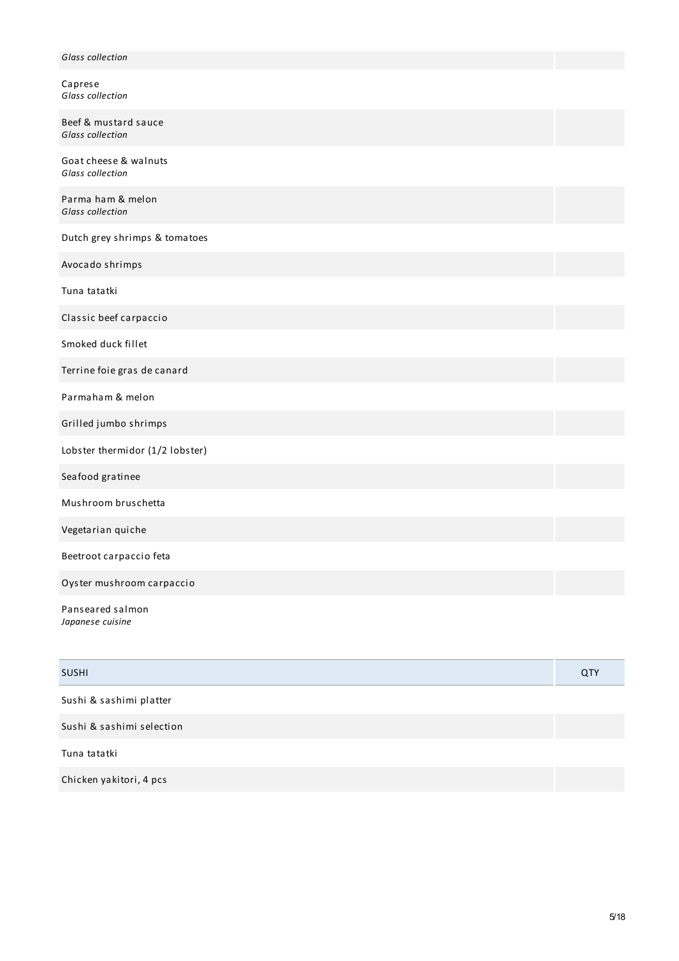| Glass collection                          |     |
|-------------------------------------------|-----|
|                                           |     |
| Caprese<br>Glass collection               |     |
| Beef & mustard sauce<br>Glass collection  |     |
| Goat cheese & walnuts<br>Glass collection |     |
| Parma ham & melon<br>Glass collection     |     |
| Dutch grey shrimps & tomatoes             |     |
| Avocado shrimps                           |     |
| Tuna tatatki                              |     |
| Classic beef carpaccio                    |     |
| Smoked duck fillet                        |     |
| Terrine foie gras de canard               |     |
| Parmaham & melon                          |     |
| Grilled jumbo shrimps                     |     |
| Lobster thermidor (1/2 lobster)           |     |
| Seafood gratinee                          |     |
| Mushroom bruschetta                       |     |
| Vegetarian quiche                         |     |
| Beetroot carpaccio feta                   |     |
| Oyster mushroom carpaccio                 |     |
| Panseared salmon<br>Japanese cuisine      |     |
| <b>SUSHI</b>                              | QTY |
| Sushi & sashimi platter                   |     |

Sushi & sashimi selection

Tuna tatatki

Chicken yakitori, 4 pcs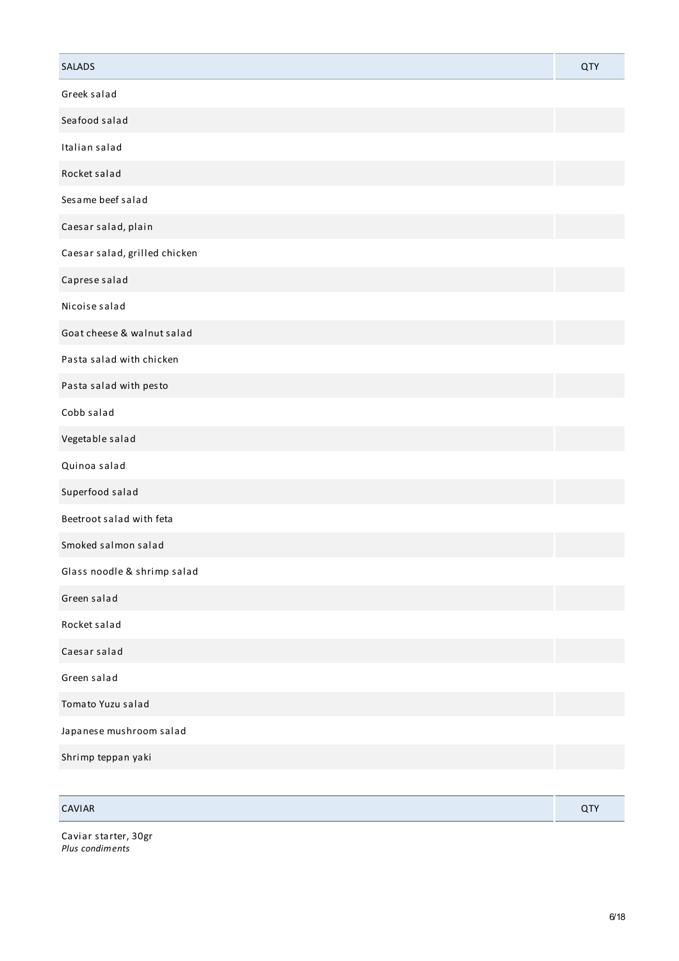| <b>SALADS</b>                 | <b>QTY</b> |
|-------------------------------|------------|
| Greek salad                   |            |
| Seafood salad                 |            |
| Italian salad                 |            |
| Rocket salad                  |            |
| Sesame beef salad             |            |
| Caesar salad, plain           |            |
| Caesar salad, grilled chicken |            |
| Caprese salad                 |            |
| Nicoise salad                 |            |
| Goat cheese & walnut salad    |            |
| Pasta salad with chicken      |            |
| Pasta salad with pesto        |            |
| Cobb salad                    |            |
| Vegetable salad               |            |
| Quinoa salad                  |            |
| Superfood salad               |            |
| Beetroot salad with feta      |            |
| Smoked salmon salad           |            |
| Glass noodle & shrimp salad   |            |
| Green salad                   |            |
| Rocket salad                  |            |
| Caesar salad                  |            |
| Green salad                   |            |
| Tomato Yuzu salad             |            |
| Japanese mushroom salad       |            |
| Shrimp teppan yaki            |            |
|                               |            |
| CAVIAR                        | QTY        |

Caviar starter, 30gr *Plus* condiments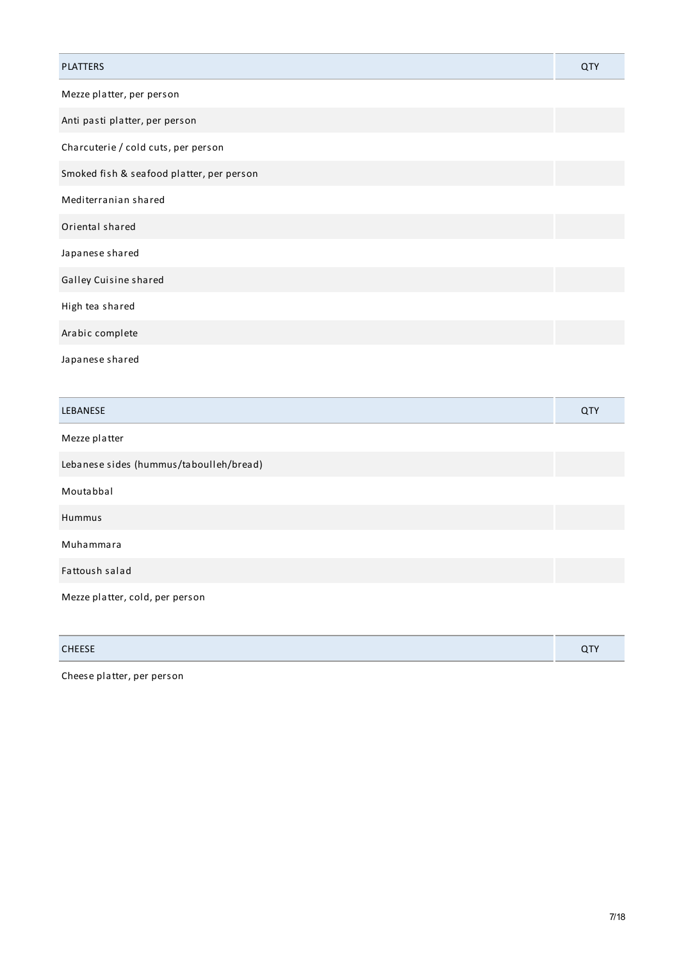| <b>PLATTERS</b>                           | QTY |
|-------------------------------------------|-----|
| Mezze platter, per person                 |     |
| Anti pasti platter, per person            |     |
| Charcuterie / cold cuts, per person       |     |
| Smoked fish & seafood platter, per person |     |
| Mediterranian shared                      |     |
| Oriental shared                           |     |
| Japanese shared                           |     |
| Galley Cuisine shared                     |     |
| High tea shared                           |     |
| Arabic complete                           |     |
| Japanese shared                           |     |
|                                           |     |
| <b>LEBANESE</b>                           | QTY |

| Mezze platter |  |
|---------------|--|
|---------------|--|

| Lebanese sides (hummus/taboulleh/bread) |  |
|-----------------------------------------|--|
| Moutabbal                               |  |
| Hummus                                  |  |
| Muhammara                               |  |
|                                         |  |

Fattoush salad

Mezze platter, cold, per person

| <b>CHEESE</b> |  |
|---------------|--|

Cheese platter, per person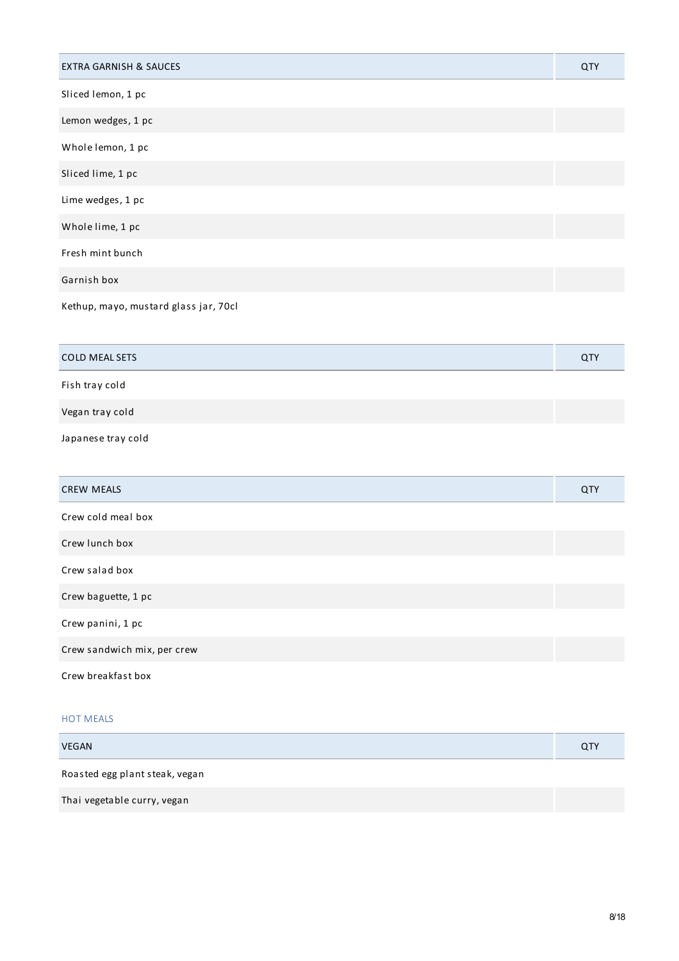| <b>EXTRA GARNISH &amp; SAUCES</b>     | QTY |
|---------------------------------------|-----|
| Sliced lemon, 1 pc                    |     |
| Lemon wedges, 1 pc                    |     |
| Whole lemon, 1 pc                     |     |
| Sliced lime, 1 pc                     |     |
| Lime wedges, 1 pc                     |     |
| Whole lime, 1 pc                      |     |
| Fresh mint bunch                      |     |
| Garnish box                           |     |
| Kethup, mayo, mustard glass jar, 70cl |     |

| <b>COLD MEAL SETS</b> | QTY |
|-----------------------|-----|
| Fish tray cold        |     |
| Vegan tray cold       |     |
| Japanese tray cold    |     |

| <b>CREW MEALS</b>           | QTY |
|-----------------------------|-----|
| Crew cold meal box          |     |
| Crew lunch box              |     |
| Crew salad box              |     |
| Crew baguette, 1 pc         |     |
| Crew panini, 1 pc           |     |
| Crew sandwich mix, per crew |     |
| Crew breakfast box          |     |

# HOT MEALS

| <b>VEGAN</b>                   | <b>QTY</b> |
|--------------------------------|------------|
| Roasted egg plant steak, vegan |            |
| Thai vegetable curry, vegan    |            |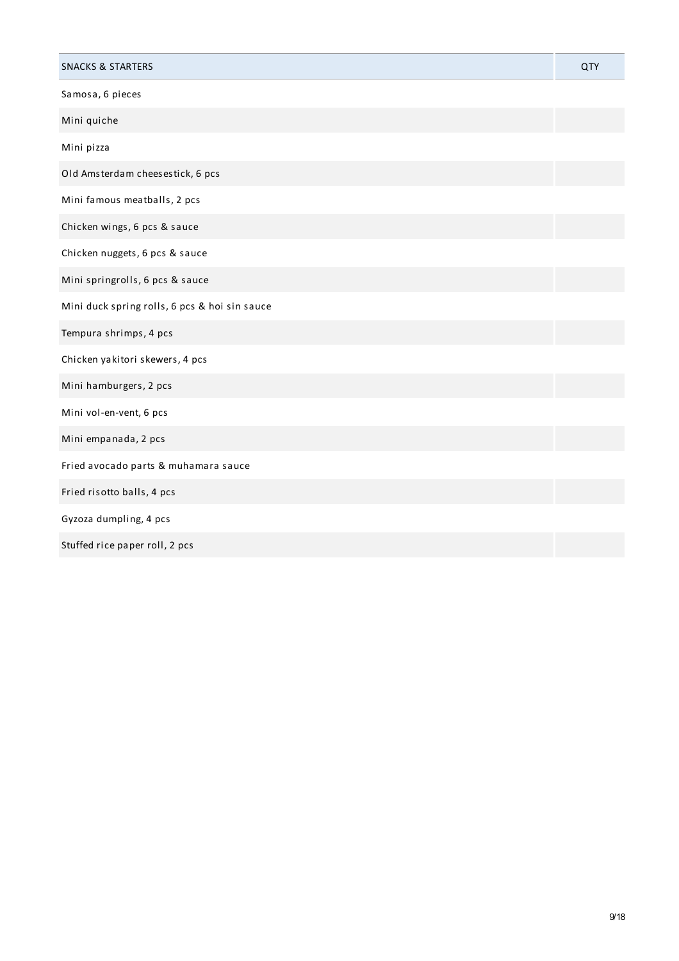| <b>SNACKS &amp; STARTERS</b>                  | QTY |
|-----------------------------------------------|-----|
| Samosa, 6 pieces                              |     |
| Mini quiche                                   |     |
| Mini pizza                                    |     |
| Old Amsterdam cheesestick, 6 pcs              |     |
| Mini famous meatballs, 2 pcs                  |     |
| Chicken wings, 6 pcs & sauce                  |     |
| Chicken nuggets, 6 pcs & sauce                |     |
| Mini springrolls, 6 pcs & sauce               |     |
| Mini duck spring rolls, 6 pcs & hoi sin sauce |     |
| Tempura shrimps, 4 pcs                        |     |
| Chicken yakitori skewers, 4 pcs               |     |
| Mini hamburgers, 2 pcs                        |     |
| Mini vol-en-vent, 6 pcs                       |     |
| Mini empanada, 2 pcs                          |     |
| Fried avocado parts & muhamara sauce          |     |
| Fried risotto balls, 4 pcs                    |     |
| Gyzoza dumpling, 4 pcs                        |     |
| Stuffed rice paper roll, 2 pcs                |     |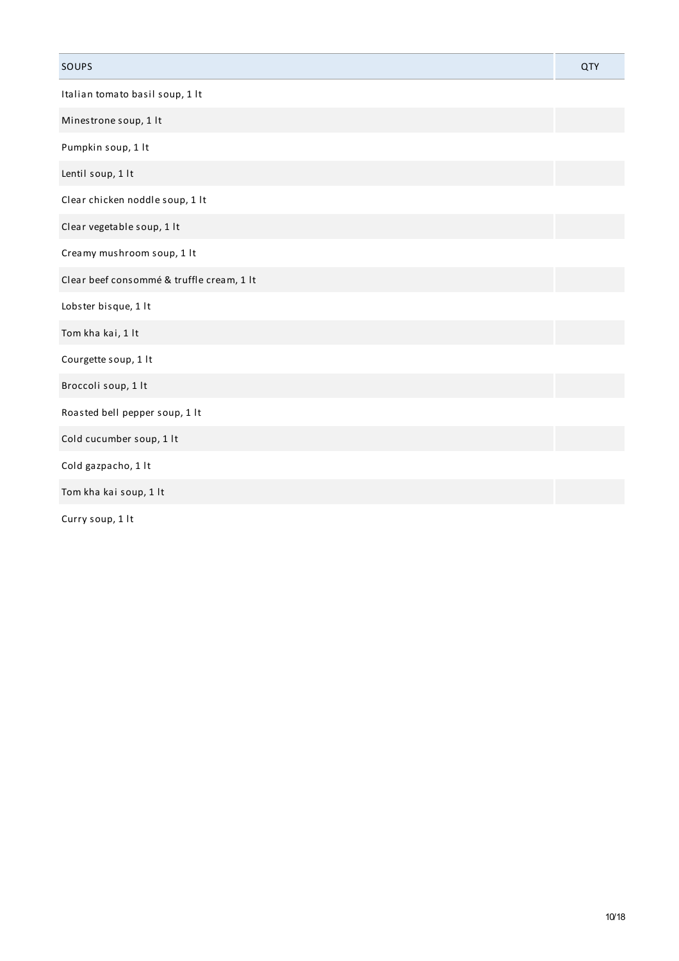| SOUPS                                     | QTY |
|-------------------------------------------|-----|
| Italian tomato basil soup, 1 lt           |     |
| Minestrone soup, 1 lt                     |     |
| Pumpkin soup, 1 lt                        |     |
| Lentil soup, 1 lt                         |     |
| Clear chicken noddle soup, 1 lt           |     |
| Clear vegetable soup, 1 lt                |     |
| Creamy mushroom soup, 1 lt                |     |
| Clear beef consommé & truffle cream, 1 lt |     |
| Lobster bisque, 1 lt                      |     |
| Tom kha kai, 1 lt                         |     |
| Courgette soup, 1 lt                      |     |
| Broccoli soup, 1 lt                       |     |
| Roasted bell pepper soup, 1 lt            |     |
| Cold cucumber soup, 1 lt                  |     |
| Cold gazpacho, 1 lt                       |     |
| Tom kha kai soup, 1 lt                    |     |
| Curry soup, 1 lt                          |     |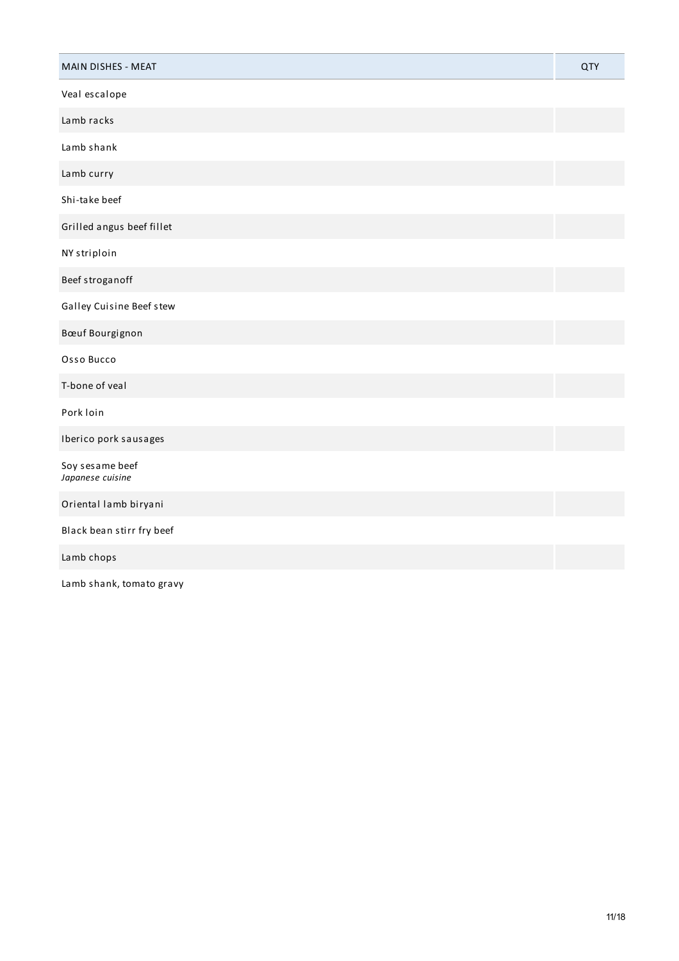| MAIN DISHES - MEAT                  | <b>QTY</b> |
|-------------------------------------|------------|
| Veal escalope                       |            |
| Lamb racks                          |            |
| Lamb shank                          |            |
| Lamb curry                          |            |
| Shi-take beef                       |            |
| Grilled angus beef fillet           |            |
| NY striploin                        |            |
| Beef stroganoff                     |            |
| Galley Cuisine Beef stew            |            |
| Bœuf Bourgignon                     |            |
| Osso Bucco                          |            |
| T-bone of veal                      |            |
| Pork loin                           |            |
| Iberico pork sausages               |            |
| Soy sesame beef<br>Japanese cuisine |            |
| Oriental lamb biryani               |            |
| Black bean stirr fry beef           |            |
| Lamb chops                          |            |
| Lamb shank, tomato gravy            |            |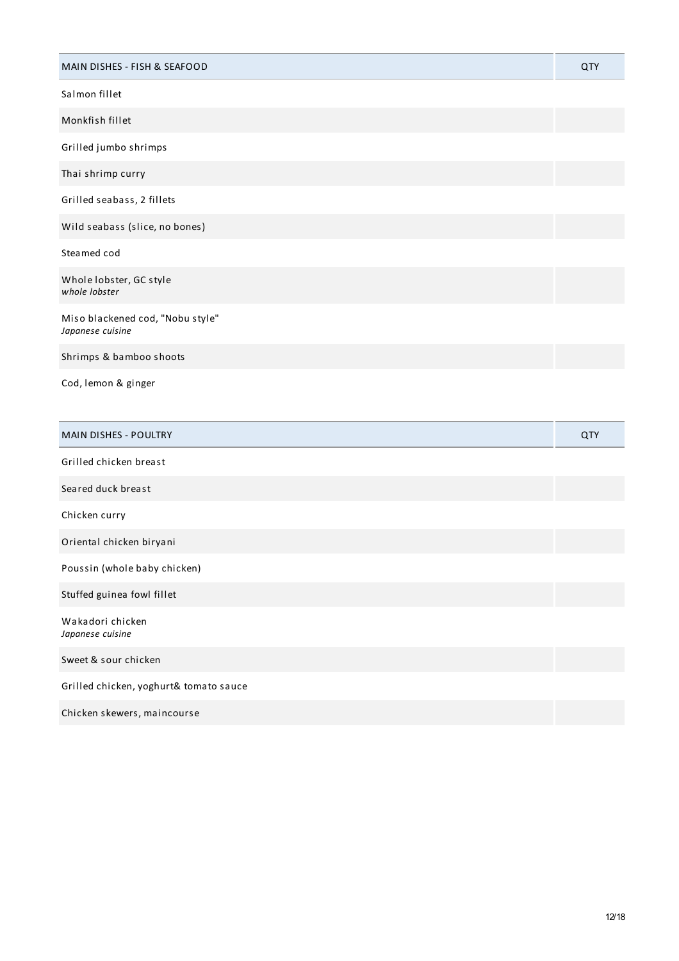| MAIN DISHES - FISH & SEAFOOD                         | QTY        |
|------------------------------------------------------|------------|
| Salmon fillet                                        |            |
| Monkfish fillet                                      |            |
| Grilled jumbo shrimps                                |            |
| Thai shrimp curry                                    |            |
| Grilled seabass, 2 fillets                           |            |
| Wild seabass (slice, no bones)                       |            |
| Steamed cod                                          |            |
| Whole lobster, GC style<br>whole lobster             |            |
| Miso blackened cod, "Nobu style"<br>Japanese cuisine |            |
| Shrimps & bamboo shoots                              |            |
| Cod, lemon & ginger                                  |            |
|                                                      |            |
| <b>MAIN DISHES - POULTRY</b>                         | <b>QTY</b> |
| Grilled chicken breast                               |            |
| Seared duck breast                                   |            |
| Chicken curry                                        |            |
| Oriental chicken biryani                             |            |
| Poussin (whole baby chicken)                         |            |
| Stuffed guinea fowl fillet                           |            |

Wakadori chicken *Japanese cuisine*

Sweet & sour chicken

Grilled chicken, yoghurt& tomato sauce

Chicken skewers, maincourse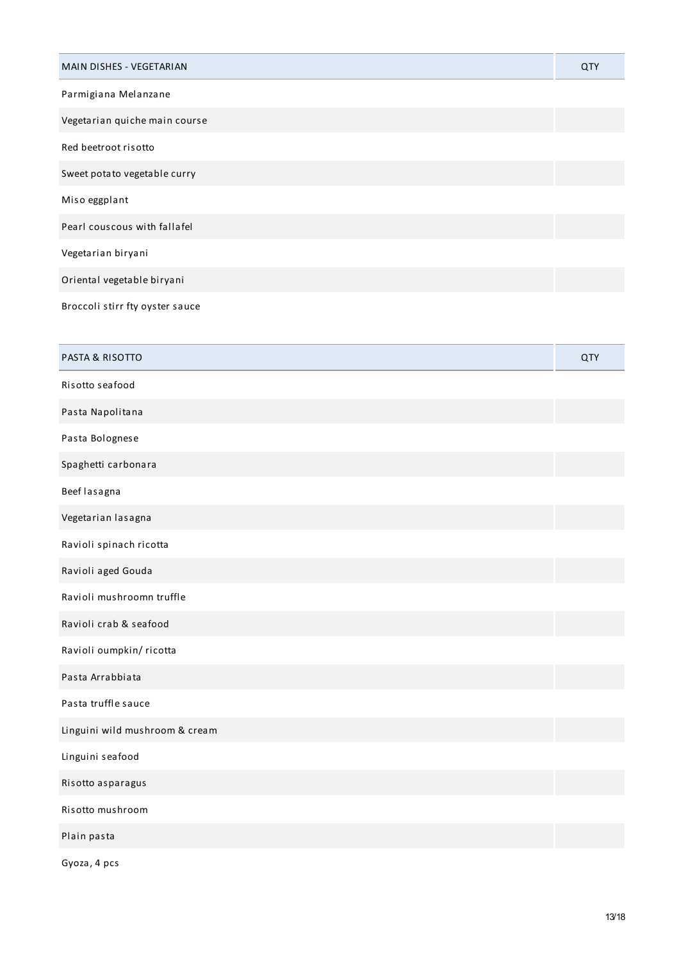| MAIN DISHES - VEGETARIAN        | QTY |
|---------------------------------|-----|
| Parmigiana Melanzane            |     |
| Vegetarian quiche main course   |     |
| Red beetroot risotto            |     |
| Sweet potato vegetable curry    |     |
| Miso eggplant                   |     |
| Pearl couscous with fallafel    |     |
| Vegetarian biryani              |     |
| Oriental vegetable biryani      |     |
| Broccoli stirr fty oyster sauce |     |
|                                 |     |
| PASTA & RISOTTO                 | QTY |
| Risotto seafood                 |     |
| Pasta Napolitana                |     |
| Pasta Bolognese                 |     |

Spaghetti carbonara Beef lasagna

Vegetarian lasagna

Ravioli spinach ricotta

Ravioli aged Gouda

Ravioli mushroomn truffle

Ravioli crab & seafood

Ravioli oumpkin/ ricotta

Pasta Arrabbiata

Pasta truffle sauce

Linguini wild mushroom & cream

Linguini seafood

Risotto asparagus

Risotto mushroom

Plain pasta

Gyoza, 4 pcs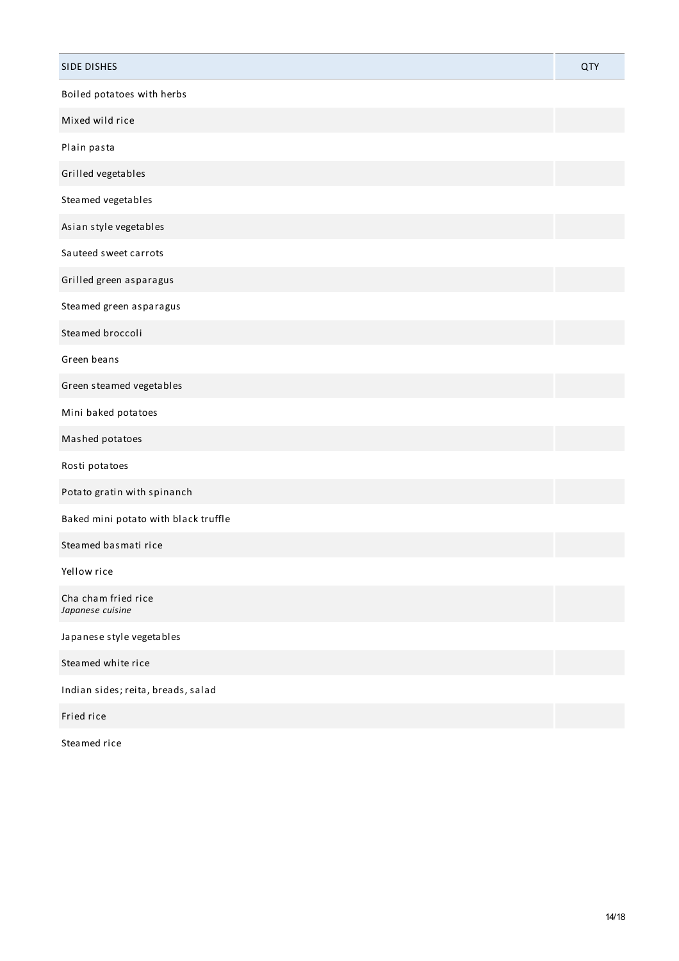| SIDE DISHES                             | <b>QTY</b> |
|-----------------------------------------|------------|
| Boiled potatoes with herbs              |            |
| Mixed wild rice                         |            |
| Plain pasta                             |            |
| Grilled vegetables                      |            |
| Steamed vegetables                      |            |
| Asian style vegetables                  |            |
| Sauteed sweet carrots                   |            |
| Grilled green asparagus                 |            |
| Steamed green asparagus                 |            |
| Steamed broccoli                        |            |
| Green beans                             |            |
| Green steamed vegetables                |            |
| Mini baked potatoes                     |            |
| Mashed potatoes                         |            |
| Rosti potatoes                          |            |
| Potato gratin with spinanch             |            |
| Baked mini potato with black truffle    |            |
| Steamed basmati rice                    |            |
| Yellow rice                             |            |
| Cha cham fried rice<br>Japanese cuisine |            |
| Japanese style vegetables               |            |
| Steamed white rice                      |            |
| Indian sides; reita, breads, salad      |            |
| Fried rice                              |            |

Steamed rice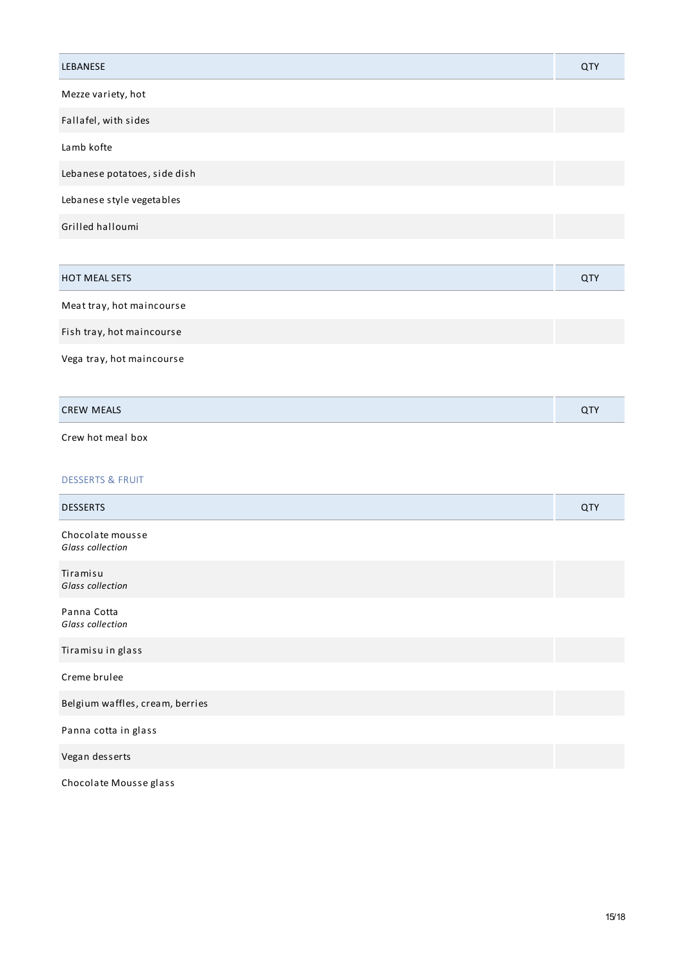| LEBANESE                     | QTY |
|------------------------------|-----|
| Mezze variety, hot           |     |
| Fallafel, with sides         |     |
| Lamb kofte                   |     |
| Lebanese potatoes, side dish |     |
| Lebanese style vegetables    |     |
| Grilled halloumi             |     |
|                              |     |

| QTY |
|-----|
|     |
|     |

Fish tray, hot maincourse

Vega tray, hot maincourse

## CREW MEALS QTY

Crew hot meal box

## DESSERTS & FRUIT

| <b>DESSERTS</b>                      | QTY |
|--------------------------------------|-----|
| Chocolate mousse<br>Glass collection |     |
| Tiramisu<br>Glass collection         |     |
| Panna Cotta<br>Glass collection      |     |
| Tiramisu in glass                    |     |
| Creme brulee                         |     |
| Belgium waffles, cream, berries      |     |
| Panna cotta in glass                 |     |
| Vegan desserts                       |     |
|                                      |     |

Chocolate Mousse glass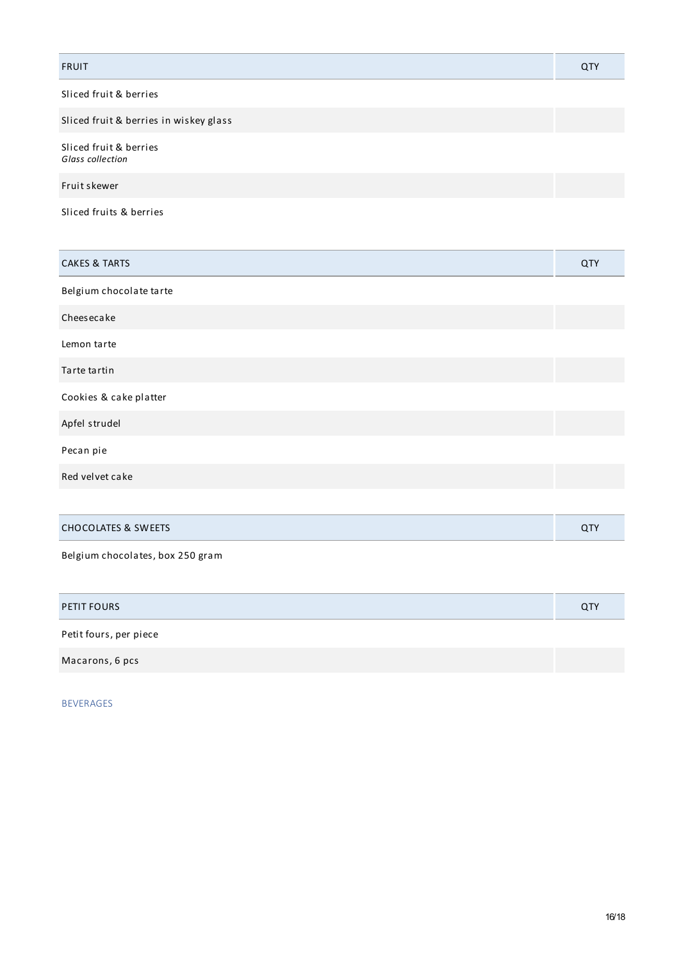| <b>FRUIT</b>                               | <b>QTY</b> |
|--------------------------------------------|------------|
| Sliced fruit & berries                     |            |
| Sliced fruit & berries in wiskey glass     |            |
| Sliced fruit & berries<br>Glass collection |            |
| Fruit skewer                               |            |

Sliced fruits & berries

| <b>CAKES &amp; TARTS</b> | QTY |
|--------------------------|-----|
| Belgium chocolate tarte  |     |
| Cheesecake               |     |
| Lemon tarte              |     |
| Tarte tartin             |     |
| Cookies & cake platter   |     |
| Apfel strudel            |     |
| Pecan pie                |     |
| Red velvet cake          |     |
|                          |     |

# CHOCOLATES & SWEETS QTY

Belgium chocolates, box 250 gram

| <b>PETIT FOURS</b>     | QTY |
|------------------------|-----|
| Petit fours, per piece |     |
| Macarons, 6 pcs        |     |

BEVERAGES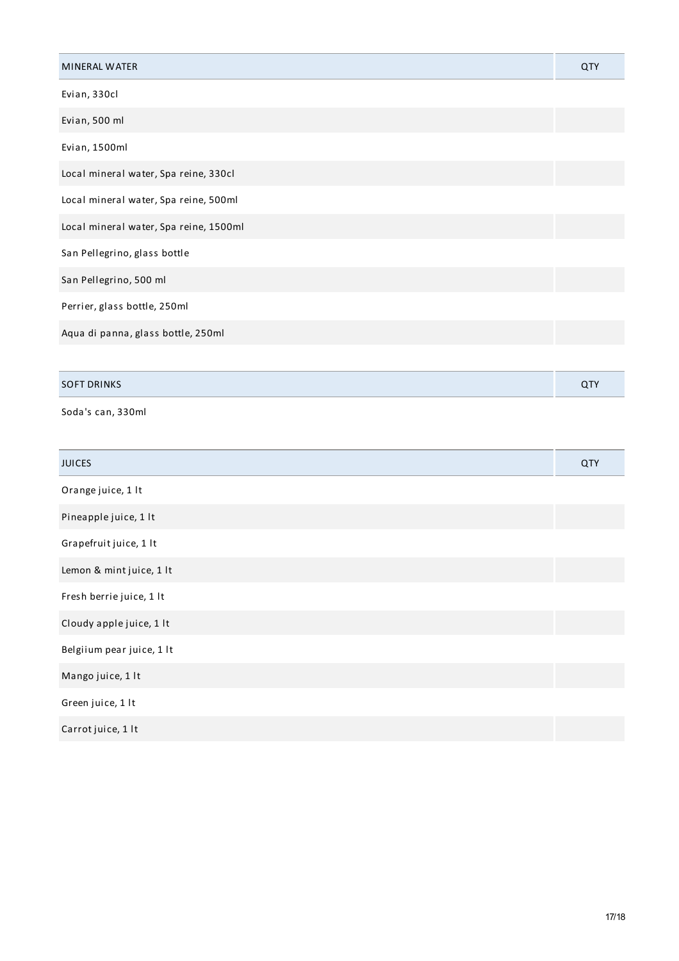| <b>MINERAL WATER</b>                   | QTY |
|----------------------------------------|-----|
| Evian, 330cl                           |     |
| Evian, 500 ml                          |     |
| Evian, 1500ml                          |     |
| Local mineral water, Spa reine, 330cl  |     |
| Local mineral water, Spa reine, 500ml  |     |
| Local mineral water, Spa reine, 1500ml |     |
| San Pellegrino, glass bottle           |     |
| San Pellegrino, 500 ml                 |     |
| Perrier, glass bottle, 250ml           |     |
| Aqua di panna, glass bottle, 250ml     |     |
|                                        |     |

| <b>SOFT DRINKS</b> |  |
|--------------------|--|
|                    |  |

Soda's can, 330ml

| <b>JUICES</b>             | QTY |
|---------------------------|-----|
| Orange juice, 1 lt        |     |
| Pineapple juice, 1 lt     |     |
| Grapefruit juice, 1 lt    |     |
| Lemon & mint juice, 1 lt  |     |
| Fresh berrie juice, 1 lt  |     |
| Cloudy apple juice, 1 lt  |     |
| Belgiium pear juice, 1 lt |     |
| Mango juice, 1 lt         |     |
| Green juice, 1 lt         |     |
| Carrot juice, 1 lt        |     |